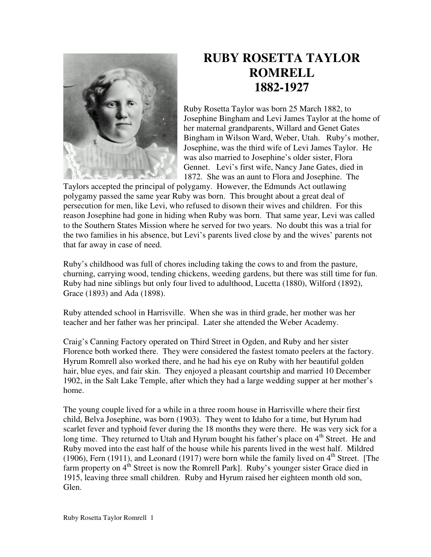

## **RUBY ROSETTA TAYLOR ROMRELL 1882-1927**

Ruby Rosetta Taylor was born 25 March 1882, to Josephine Bingham and Levi James Taylor at the home of her maternal grandparents, Willard and Genet Gates Bingham in Wilson Ward, Weber, Utah. Ruby's mother, Josephine, was the third wife of Levi James Taylor. He was also married to Josephine's older sister, Flora Gennet. Levi's first wife, Nancy Jane Gates, died in 1872. She was an aunt to Flora and Josephine. The

Taylors accepted the principal of polygamy. However, the Edmunds Act outlawing polygamy passed the same year Ruby was born. This brought about a great deal of persecution for men, like Levi, who refused to disown their wives and children. For this reason Josephine had gone in hiding when Ruby was born. That same year, Levi was called to the Southern States Mission where he served for two years. No doubt this was a trial for the two families in his absence, but Levi's parents lived close by and the wives' parents not that far away in case of need.

Ruby's childhood was full of chores including taking the cows to and from the pasture, churning, carrying wood, tending chickens, weeding gardens, but there was still time for fun. Ruby had nine siblings but only four lived to adulthood, Lucetta (1880), Wilford (1892), Grace (1893) and Ada (1898).

Ruby attended school in Harrisville. When she was in third grade, her mother was her teacher and her father was her principal. Later she attended the Weber Academy.

Craig's Canning Factory operated on Third Street in Ogden, and Ruby and her sister Florence both worked there. They were considered the fastest tomato peelers at the factory. Hyrum Romrell also worked there, and he had his eye on Ruby with her beautiful golden hair, blue eyes, and fair skin. They enjoyed a pleasant courtship and married 10 December 1902, in the Salt Lake Temple, after which they had a large wedding supper at her mother's home.

The young couple lived for a while in a three room house in Harrisville where their first child, Belva Josephine, was born (1903). They went to Idaho for a time, but Hyrum had scarlet fever and typhoid fever during the 18 months they were there. He was very sick for a long time. They returned to Utah and Hyrum bought his father's place on 4<sup>th</sup> Street. He and Ruby moved into the east half of the house while his parents lived in the west half. Mildred (1906), Fern (1911), and Leonard (1917) were born while the family lived on  $4<sup>th</sup>$  Street. [The farm property on  $4<sup>th</sup>$  Street is now the Romrell Park]. Ruby's younger sister Grace died in 1915, leaving three small children. Ruby and Hyrum raised her eighteen month old son, Glen.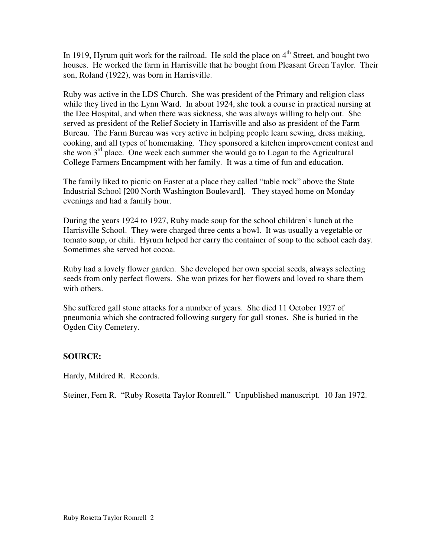In 1919, Hyrum quit work for the railroad. He sold the place on  $4<sup>th</sup>$  Street, and bought two houses. He worked the farm in Harrisville that he bought from Pleasant Green Taylor. Their son, Roland (1922), was born in Harrisville.

Ruby was active in the LDS Church. She was president of the Primary and religion class while they lived in the Lynn Ward. In about 1924, she took a course in practical nursing at the Dee Hospital, and when there was sickness, she was always willing to help out. She served as president of the Relief Society in Harrisville and also as president of the Farm Bureau. The Farm Bureau was very active in helping people learn sewing, dress making, cooking, and all types of homemaking. They sponsored a kitchen improvement contest and she won  $3<sup>rd</sup>$  place. One week each summer she would go to Logan to the Agricultural College Farmers Encampment with her family. It was a time of fun and education.

The family liked to picnic on Easter at a place they called "table rock" above the State Industrial School [200 North Washington Boulevard]. They stayed home on Monday evenings and had a family hour.

During the years 1924 to 1927, Ruby made soup for the school children's lunch at the Harrisville School. They were charged three cents a bowl. It was usually a vegetable or tomato soup, or chili. Hyrum helped her carry the container of soup to the school each day. Sometimes she served hot cocoa.

Ruby had a lovely flower garden. She developed her own special seeds, always selecting seeds from only perfect flowers. She won prizes for her flowers and loved to share them with others.

She suffered gall stone attacks for a number of years. She died 11 October 1927 of pneumonia which she contracted following surgery for gall stones. She is buried in the Ogden City Cemetery.

## **SOURCE:**

Hardy, Mildred R. Records.

Steiner, Fern R. "Ruby Rosetta Taylor Romrell." Unpublished manuscript. 10 Jan 1972.